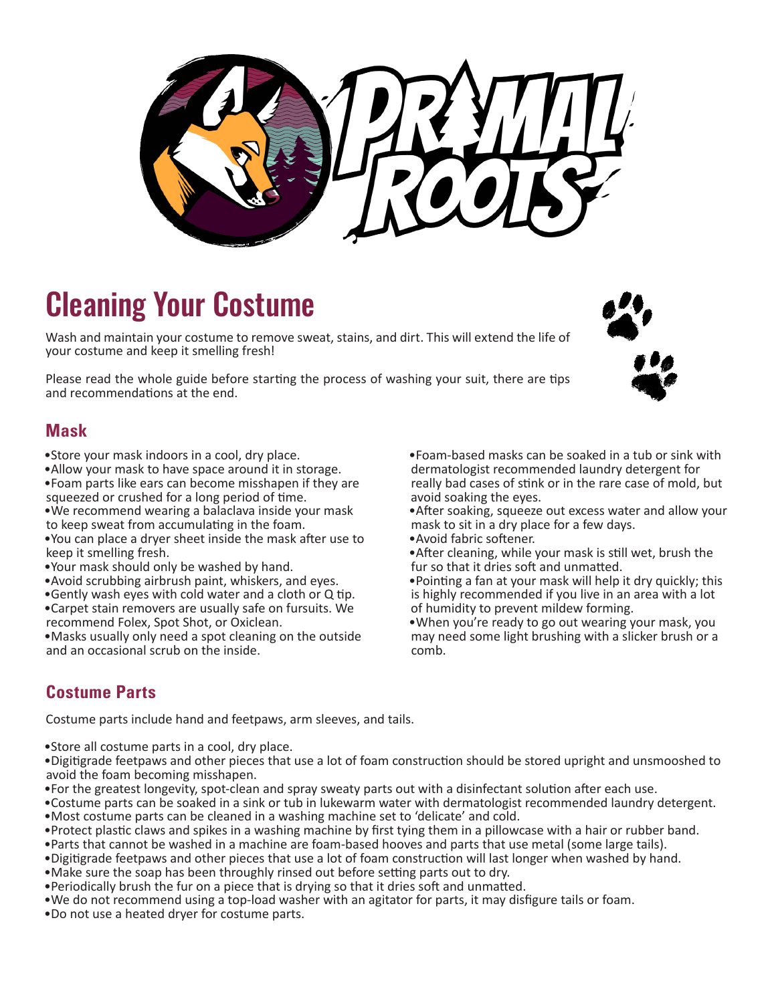

# Cleaning Your Costume

Wash and maintain your costume to remove sweat, stains, and dirt. This will extend the life of your costume and keep it smelling fresh!

Please read the whole guide before starting the process of washing your suit, there are tips and recommendations at the end.

#### **Mask**

- •Store your mask indoors in a cool, dry place.
- •Allow your mask to have space around it in storage. •Foam parts like ears can become misshapen if they are
- squeezed or crushed for a long period of time.
- •We recommend wearing a balaclava inside your mask to keep sweat from accumulating in the foam.
- •You can place a dryer sheet inside the mask after use to keep it smelling fresh.
- •Your mask should only be washed by hand.
- •Avoid scrubbing airbrush paint, whiskers, and eyes.
- •Gently wash eyes with cold water and a cloth or Q tip.
- •Carpet stain removers are usually safe on fursuits. We recommend Folex, Spot Shot, or Oxiclean.
- •Masks usually only need a spot cleaning on the outside and an occasional scrub on the inside.

•Foam-based masks can be soaked in a tub or sink with dermatologist recommended laundry detergent for really bad cases of stink or in the rare case of mold, but avoid soaking the eyes.

•After soaking, squeeze out excess water and allow your mask to sit in a dry place for a few days.

•Avoid fabric softener.

•After cleaning, while your mask is still wet, brush the fur so that it dries soft and unmatted.

•Pointing a fan at your mask will help it dry quickly; this is highly recommended if you live in an area with a lot of humidity to prevent mildew forming.

•When you're ready to go out wearing your mask, you may need some light brushing with a slicker brush or a comb.

## **Costume Parts**

Costume parts include hand and feetpaws, arm sleeves, and tails.

•Store all costume parts in a cool, dry place.

•Digitigrade feetpaws and other pieces that use a lot of foam construction should be stored upright and unsmooshed to avoid the foam becoming misshapen.

- •For the greatest longevity, spot-clean and spray sweaty parts out with a disinfectant solution after each use.
- •Costume parts can be soaked in a sink or tub in lukewarm water with dermatologist recommended laundry detergent. •Most costume parts can be cleaned in a washing machine set to 'delicate' and cold.
- •Protect plastic claws and spikes in a washing machine by first tying them in a pillowcase with a hair or rubber band.
- •Parts that cannot be washed in a machine are foam-based hooves and parts that use metal (some large tails).
- •Digitigrade feetpaws and other pieces that use a lot of foam construction will last longer when washed by hand.
- •Make sure the soap has been throughly rinsed out before setting parts out to dry.
- •Periodically brush the fur on a piece that is drying so that it dries soft and unmatted.
- •We do not recommend using a top-load washer with an agitator for parts, it may disfigure tails or foam.
- •Do not use a heated dryer for costume parts.